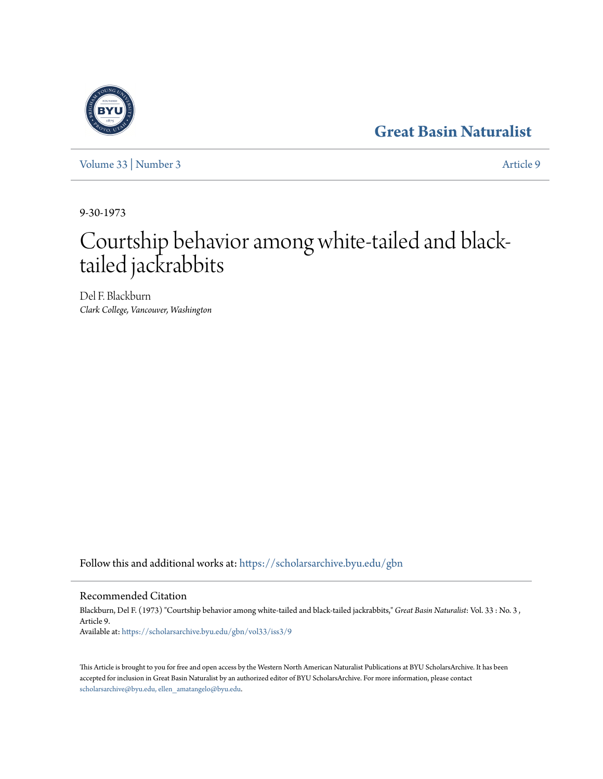## **[Great Basin Naturalist](https://scholarsarchive.byu.edu/gbn?utm_source=scholarsarchive.byu.edu%2Fgbn%2Fvol33%2Fiss3%2F9&utm_medium=PDF&utm_campaign=PDFCoverPages)**

[Volume 33](https://scholarsarchive.byu.edu/gbn/vol33?utm_source=scholarsarchive.byu.edu%2Fgbn%2Fvol33%2Fiss3%2F9&utm_medium=PDF&utm_campaign=PDFCoverPages) | [Number 3](https://scholarsarchive.byu.edu/gbn/vol33/iss3?utm_source=scholarsarchive.byu.edu%2Fgbn%2Fvol33%2Fiss3%2F9&utm_medium=PDF&utm_campaign=PDFCoverPages) [Article 9](https://scholarsarchive.byu.edu/gbn/vol33/iss3/9?utm_source=scholarsarchive.byu.edu%2Fgbn%2Fvol33%2Fiss3%2F9&utm_medium=PDF&utm_campaign=PDFCoverPages)

9-30-1973

# Courtship behavior among white-tailed and blacktailed jackrabbits

Del F. Blackburn *Clark College, Vancouver, Washington*

Follow this and additional works at: [https://scholarsarchive.byu.edu/gbn](https://scholarsarchive.byu.edu/gbn?utm_source=scholarsarchive.byu.edu%2Fgbn%2Fvol33%2Fiss3%2F9&utm_medium=PDF&utm_campaign=PDFCoverPages)

### Recommended Citation

Blackburn, Del F. (1973) "Courtship behavior among white-tailed and black-tailed jackrabbits," *Great Basin Naturalist*: Vol. 33 : No. 3 , Article 9. Available at: [https://scholarsarchive.byu.edu/gbn/vol33/iss3/9](https://scholarsarchive.byu.edu/gbn/vol33/iss3/9?utm_source=scholarsarchive.byu.edu%2Fgbn%2Fvol33%2Fiss3%2F9&utm_medium=PDF&utm_campaign=PDFCoverPages)

This Article is brought to you for free and open access by the Western North American Naturalist Publications at BYU ScholarsArchive. It has been accepted for inclusion in Great Basin Naturalist by an authorized editor of BYU ScholarsArchive. For more information, please contact [scholarsarchive@byu.edu, ellen\\_amatangelo@byu.edu.](mailto:scholarsarchive@byu.edu,%20ellen_amatangelo@byu.edu)

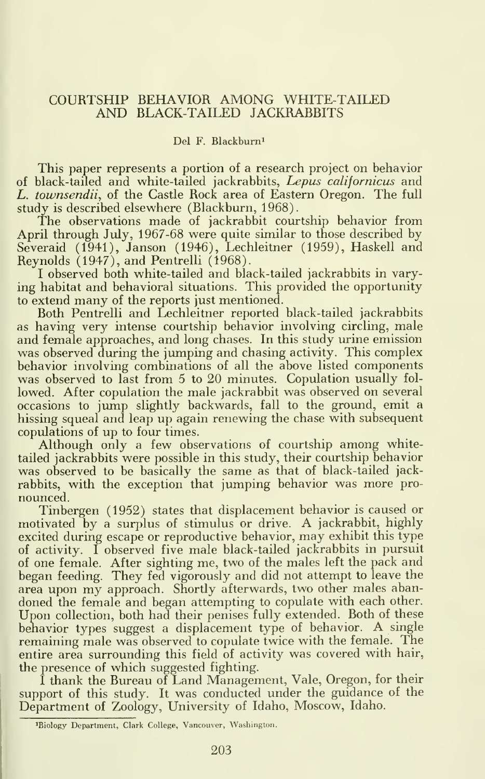#### COURTSHIP BEHAVIOR AMONG WHITE-TAILED AND BLACK-TAILED JACKRABBITS

#### Del F. Blackburni

This paper represents a portion of a research project on behavior of black-tailed and white-tailed jackrabbits, Lepus californicus and L. townsendii, of the Castle Rock area of Eastern Oregon. The full study is described elsewhere (Blackburn, 1968).

The observations made of jackrabbit courtship behavior from April through July, 1967-68 were quite similar to those described by Severaid (1941), Janson (1946), Lechleitner (1959), Haskell and Reynolds (1947), and Pentrelli (1968).

I observed both white-tailed and black-tailed jackrabbits in varying habitat and behavioral situations. This provided the opportunity to extend many of the reports just mentioned.

Both Pentrelli and Lechleitner reported black-tailed jackrabbits as having very intense courtship behavior involving circling, male and female approaches, and long chases. In this study urine emission was observed during the jumping and chasing activity. This complex behavior involving combinations of all the above listed components was observed to last from 5 to 20 minutes. Copulation usually fol lowed. After copulation the male jackrabbit was observed on several occasions to jump slightly backwards, fall to the ground, emit a hissing squeal and leap up again renewing the chase with subsequent copulations of up to four times.

Although only <sup>a</sup> few observations of courtship among whitetailed jackrabbits were possible in this study, their courtship behavior was observed to be basically the same as that of black-tailed jackrabbits, with the exception that jumping behavior was more pro nounced.

Tinbergen (1952) states that displacement behavior is caused or motivated by <sup>a</sup> surplus of stimulus or drive. A jackrabbit, highly excited during escape or reproductive behavior, may exhibit this type of activity. <sup>I</sup> observed five male black-tailed jackrabbits in pursuit of one female. After sighting me, two of the males left the pack and began feeding. They fed vigorously and did not attempt to leave the area upon my approach. Shortly afterwards, two other males abandoned the female and began attempting to copulate with each other. Upon collection, both had their penises fully extended. Both of these behavior types suggest <sup>a</sup> displacement type of behavior. A single remaining male was observed to copulate twice with the female. The entire area surrounding this field of activity was covered with hair, the presence of which suggested fighting.

<sup>I</sup> thank the Bureau of Land Management, Vale, Oregon, for their support of this study. It was conducted under the guidance of the Department of Zoology, University of Idaho, Moscow, Idaho.

<sup>^</sup>Biology Department, Clark College, Vancouver, Washington.